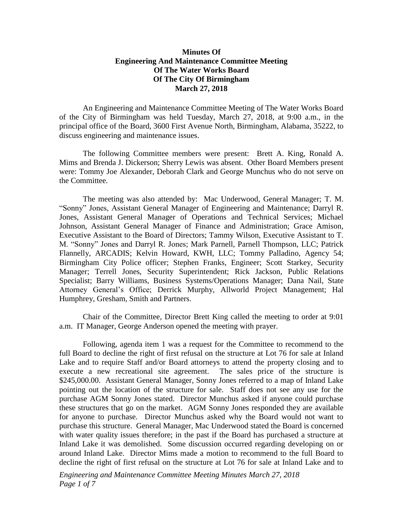## **Minutes Of Engineering And Maintenance Committee Meeting Of The Water Works Board Of The City Of Birmingham March 27, 2018**

An Engineering and Maintenance Committee Meeting of The Water Works Board of the City of Birmingham was held Tuesday, March 27, 2018, at 9:00 a.m., in the principal office of the Board, 3600 First Avenue North, Birmingham, Alabama, 35222, to discuss engineering and maintenance issues.

The following Committee members were present: Brett A. King, Ronald A. Mims and Brenda J. Dickerson; Sherry Lewis was absent. Other Board Members present were: Tommy Joe Alexander, Deborah Clark and George Munchus who do not serve on the Committee.

The meeting was also attended by: Mac Underwood, General Manager; T. M. "Sonny" Jones, Assistant General Manager of Engineering and Maintenance; Darryl R. Jones, Assistant General Manager of Operations and Technical Services; Michael Johnson, Assistant General Manager of Finance and Administration; Grace Amison, Executive Assistant to the Board of Directors; Tammy Wilson, Executive Assistant to T. M. "Sonny" Jones and Darryl R. Jones; Mark Parnell, Parnell Thompson, LLC; Patrick Flannelly, ARCADIS; Kelvin Howard, KWH, LLC; Tommy Palladino, Agency 54; Birmingham City Police officer; Stephen Franks, Engineer; Scott Starkey, Security Manager; Terrell Jones, Security Superintendent; Rick Jackson, Public Relations Specialist; Barry Williams, Business Systems/Operations Manager; Dana Nail, State Attorney General's Office; Derrick Murphy, Allworld Project Management; Hal Humphrey, Gresham, Smith and Partners.

Chair of the Committee, Director Brett King called the meeting to order at 9:01 a.m. IT Manager, George Anderson opened the meeting with prayer.

Following, agenda item 1 was a request for the Committee to recommend to the full Board to decline the right of first refusal on the structure at Lot 76 for sale at Inland Lake and to require Staff and/or Board attorneys to attend the property closing and to execute a new recreational site agreement. The sales price of the structure is \$245,000.00. Assistant General Manager, Sonny Jones referred to a map of Inland Lake pointing out the location of the structure for sale. Staff does not see any use for the purchase AGM Sonny Jones stated. Director Munchus asked if anyone could purchase these structures that go on the market. AGM Sonny Jones responded they are available for anyone to purchase. Director Munchus asked why the Board would not want to purchase this structure. General Manager, Mac Underwood stated the Board is concerned with water quality issues therefore; in the past if the Board has purchased a structure at Inland Lake it was demolished. Some discussion occurred regarding developing on or around Inland Lake. Director Mims made a motion to recommend to the full Board to decline the right of first refusal on the structure at Lot 76 for sale at Inland Lake and to

*Engineering and Maintenance Committee Meeting Minutes March 27, 2018 Page 1 of 7*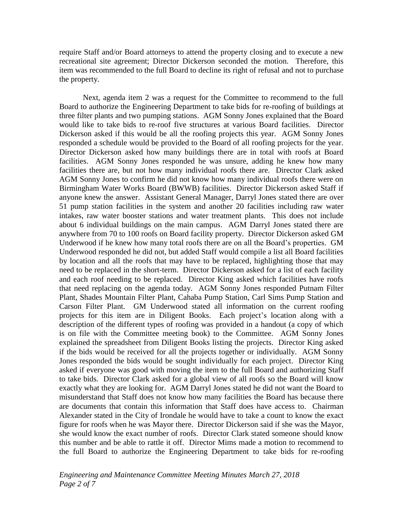require Staff and/or Board attorneys to attend the property closing and to execute a new recreational site agreement; Director Dickerson seconded the motion. Therefore, this item was recommended to the full Board to decline its right of refusal and not to purchase the property.

Next, agenda item 2 was a request for the Committee to recommend to the full Board to authorize the Engineering Department to take bids for re-roofing of buildings at three filter plants and two pumping stations. AGM Sonny Jones explained that the Board would like to take bids to re-roof five structures at various Board facilities. Director Dickerson asked if this would be all the roofing projects this year. AGM Sonny Jones responded a schedule would be provided to the Board of all roofing projects for the year. Director Dickerson asked how many buildings there are in total with roofs at Board facilities. AGM Sonny Jones responded he was unsure, adding he knew how many facilities there are, but not how many individual roofs there are. Director Clark asked AGM Sonny Jones to confirm he did not know how many individual roofs there were on Birmingham Water Works Board (BWWB) facilities. Director Dickerson asked Staff if anyone knew the answer. Assistant General Manager, Darryl Jones stated there are over 51 pump station facilities in the system and another 20 facilities including raw water intakes, raw water booster stations and water treatment plants. This does not include about 6 individual buildings on the main campus. AGM Darryl Jones stated there are anywhere from 70 to 100 roofs on Board facility property. Director Dickerson asked GM Underwood if he knew how many total roofs there are on all the Board's properties. GM Underwood responded he did not, but added Staff would compile a list all Board facilities by location and all the roofs that may have to be replaced, highlighting those that may need to be replaced in the short-term. Director Dickerson asked for a list of each facility and each roof needing to be replaced. Director King asked which facilities have roofs that need replacing on the agenda today. AGM Sonny Jones responded Putnam Filter Plant, Shades Mountain Filter Plant, Cahaba Pump Station, Carl Sims Pump Station and Carson Filter Plant. GM Underwood stated all information on the current roofing projects for this item are in Diligent Books. Each project's location along with a description of the different types of roofing was provided in a handout (a copy of which is on file with the Committee meeting book) to the Committee. AGM Sonny Jones explained the spreadsheet from Diligent Books listing the projects. Director King asked if the bids would be received for all the projects together or individually. AGM Sonny Jones responded the bids would be sought individually for each project. Director King asked if everyone was good with moving the item to the full Board and authorizing Staff to take bids. Director Clark asked for a global view of all roofs so the Board will know exactly what they are looking for. AGM Darryl Jones stated he did not want the Board to misunderstand that Staff does not know how many facilities the Board has because there are documents that contain this information that Staff does have access to. Chairman Alexander stated in the City of Irondale he would have to take a count to know the exact figure for roofs when he was Mayor there. Director Dickerson said if she was the Mayor, she would know the exact number of roofs. Director Clark stated someone should know this number and be able to rattle it off. Director Mims made a motion to recommend to the full Board to authorize the Engineering Department to take bids for re-roofing

*Engineering and Maintenance Committee Meeting Minutes March 27, 2018 Page 2 of 7*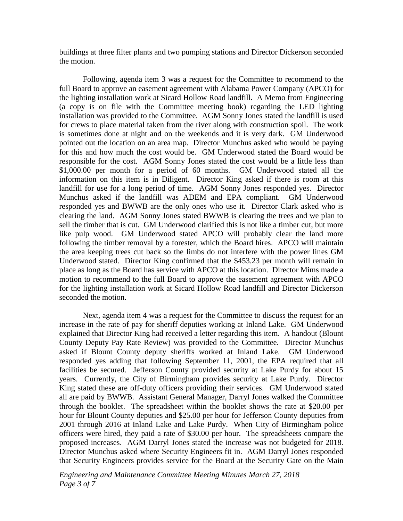buildings at three filter plants and two pumping stations and Director Dickerson seconded the motion.

Following, agenda item 3 was a request for the Committee to recommend to the full Board to approve an easement agreement with Alabama Power Company (APCO) for the lighting installation work at Sicard Hollow Road landfill. A Memo from Engineering (a copy is on file with the Committee meeting book) regarding the LED lighting installation was provided to the Committee. AGM Sonny Jones stated the landfill is used for crews to place material taken from the river along with construction spoil. The work is sometimes done at night and on the weekends and it is very dark. GM Underwood pointed out the location on an area map. Director Munchus asked who would be paying for this and how much the cost would be. GM Underwood stated the Board would be responsible for the cost. AGM Sonny Jones stated the cost would be a little less than \$1,000.00 per month for a period of 60 months. GM Underwood stated all the information on this item is in Diligent. Director King asked if there is room at this landfill for use for a long period of time. AGM Sonny Jones responded yes. Director Munchus asked if the landfill was ADEM and EPA compliant. GM Underwood responded yes and BWWB are the only ones who use it. Director Clark asked who is clearing the land. AGM Sonny Jones stated BWWB is clearing the trees and we plan to sell the timber that is cut. GM Underwood clarified this is not like a timber cut, but more like pulp wood. GM Underwood stated APCO will probably clear the land more following the timber removal by a forester, which the Board hires. APCO will maintain the area keeping trees cut back so the limbs do not interfere with the power lines GM Underwood stated. Director King confirmed that the \$453.23 per month will remain in place as long as the Board has service with APCO at this location. Director Mims made a motion to recommend to the full Board to approve the easement agreement with APCO for the lighting installation work at Sicard Hollow Road landfill and Director Dickerson seconded the motion.

Next, agenda item 4 was a request for the Committee to discuss the request for an increase in the rate of pay for sheriff deputies working at Inland Lake. GM Underwood explained that Director King had received a letter regarding this item. A handout (Blount County Deputy Pay Rate Review) was provided to the Committee. Director Munchus asked if Blount County deputy sheriffs worked at Inland Lake. GM Underwood responded yes adding that following September 11, 2001, the EPA required that all facilities be secured. Jefferson County provided security at Lake Purdy for about 15 years. Currently, the City of Birmingham provides security at Lake Purdy. Director King stated these are off-duty officers providing their services. GM Underwood stated all are paid by BWWB. Assistant General Manager, Darryl Jones walked the Committee through the booklet. The spreadsheet within the booklet shows the rate at \$20.00 per hour for Blount County deputies and \$25.00 per hour for Jefferson County deputies from 2001 through 2016 at Inland Lake and Lake Purdy. When City of Birmingham police officers were hired, they paid a rate of \$30.00 per hour. The spreadsheets compare the proposed increases. AGM Darryl Jones stated the increase was not budgeted for 2018. Director Munchus asked where Security Engineers fit in. AGM Darryl Jones responded that Security Engineers provides service for the Board at the Security Gate on the Main

*Engineering and Maintenance Committee Meeting Minutes March 27, 2018 Page 3 of 7*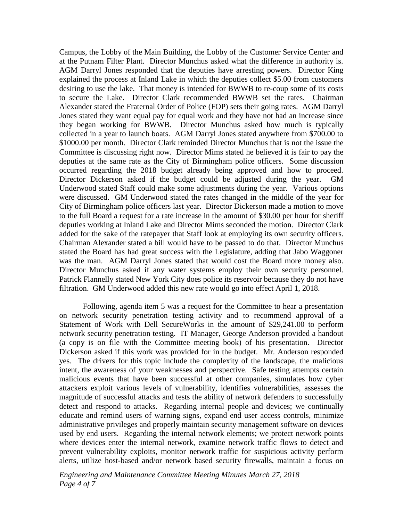Campus, the Lobby of the Main Building, the Lobby of the Customer Service Center and at the Putnam Filter Plant. Director Munchus asked what the difference in authority is. AGM Darryl Jones responded that the deputies have arresting powers. Director King explained the process at Inland Lake in which the deputies collect \$5.00 from customers desiring to use the lake. That money is intended for BWWB to re-coup some of its costs to secure the Lake. Director Clark recommended BWWB set the rates. Chairman Alexander stated the Fraternal Order of Police (FOP) sets their going rates. AGM Darryl Jones stated they want equal pay for equal work and they have not had an increase since they began working for BWWB. Director Munchus asked how much is typically collected in a year to launch boats. AGM Darryl Jones stated anywhere from \$700.00 to \$1000.00 per month. Director Clark reminded Director Munchus that is not the issue the Committee is discussing right now. Director Mims stated he believed it is fair to pay the deputies at the same rate as the City of Birmingham police officers. Some discussion occurred regarding the 2018 budget already being approved and how to proceed. Director Dickerson asked if the budget could be adjusted during the year. GM Underwood stated Staff could make some adjustments during the year. Various options were discussed. GM Underwood stated the rates changed in the middle of the year for City of Birmingham police officers last year. Director Dickerson made a motion to move to the full Board a request for a rate increase in the amount of \$30.00 per hour for sheriff deputies working at Inland Lake and Director Mims seconded the motion. Director Clark added for the sake of the ratepayer that Staff look at employing its own security officers. Chairman Alexander stated a bill would have to be passed to do that. Director Munchus stated the Board has had great success with the Legislature, adding that Jabo Waggoner was the man. AGM Darryl Jones stated that would cost the Board more money also. Director Munchus asked if any water systems employ their own security personnel. Patrick Flannelly stated New York City does police its reservoir because they do not have filtration. GM Underwood added this new rate would go into effect April 1, 2018.

Following, agenda item 5 was a request for the Committee to hear a presentation on network security penetration testing activity and to recommend approval of a Statement of Work with Dell SecureWorks in the amount of \$29,241.00 to perform network security penetration testing. IT Manager, George Anderson provided a handout (a copy is on file with the Committee meeting book) of his presentation. Director Dickerson asked if this work was provided for in the budget. Mr. Anderson responded yes. The drivers for this topic include the complexity of the landscape, the malicious intent, the awareness of your weaknesses and perspective. Safe testing attempts certain malicious events that have been successful at other companies, simulates how cyber attackers exploit various levels of vulnerability, identifies vulnerabilities, assesses the magnitude of successful attacks and tests the ability of network defenders to successfully detect and respond to attacks. Regarding internal people and devices; we continually educate and remind users of warning signs, expand end user access controls, minimize administrative privileges and properly maintain security management software on devices used by end users. Regarding the internal network elements; we protect network points where devices enter the internal network, examine network traffic flows to detect and prevent vulnerability exploits, monitor network traffic for suspicious activity perform alerts, utilize host-based and/or network based security firewalls, maintain a focus on

*Engineering and Maintenance Committee Meeting Minutes March 27, 2018 Page 4 of 7*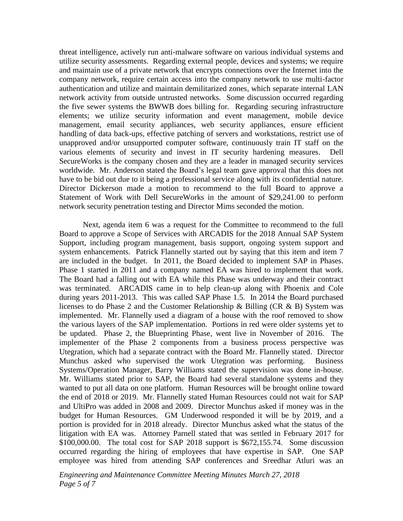threat intelligence, actively run anti-malware software on various individual systems and utilize security assessments. Regarding external people, devices and systems; we require and maintain use of a private network that encrypts connections over the Internet into the company network, require certain access into the company network to use multi-factor authentication and utilize and maintain demilitarized zones, which separate internal LAN network activity from outside untrusted networks. Some discussion occurred regarding the five sewer systems the BWWB does billing for. Regarding securing infrastructure elements; we utilize security information and event management, mobile device management, email security appliances, web security appliances, ensure efficient handling of data back-ups, effective patching of servers and workstations, restrict use of unapproved and/or unsupported computer software, continuously train IT staff on the various elements of security and invest in IT security hardening measures. Dell SecureWorks is the company chosen and they are a leader in managed security services worldwide. Mr. Anderson stated the Board's legal team gave approval that this does not have to be bid out due to it being a professional service along with its confidential nature. Director Dickerson made a motion to recommend to the full Board to approve a Statement of Work with Dell SecureWorks in the amount of \$29,241.00 to perform network security penetration testing and Director Mims seconded the motion.

Next, agenda item 6 was a request for the Committee to recommend to the full Board to approve a Scope of Services with ARCADIS for the 2018 Annual SAP System Support, including program management, basis support, ongoing system support and system enhancements. Patrick Flannelly started out by saying that this item and item 7 are included in the budget. In 2011, the Board decided to implement SAP in Phases. Phase 1 started in 2011 and a company named EA was hired to implement that work. The Board had a falling out with EA while this Phase was underway and their contract was terminated. ARCADIS came in to help clean-up along with Phoenix and Cole during years 2011-2013. This was called SAP Phase 1.5. In 2014 the Board purchased licenses to do Phase 2 and the Customer Relationship & Billing (CR & B) System was implemented. Mr. Flannelly used a diagram of a house with the roof removed to show the various layers of the SAP implementation. Portions in red were older systems yet to be updated. Phase 2, the Blueprinting Phase, went live in November of 2016. The implementer of the Phase 2 components from a business process perspective was Utegration, which had a separate contract with the Board Mr. Flannelly stated. Director Munchus asked who supervised the work Utegration was performing. Business Systems/Operation Manager, Barry Williams stated the supervision was done in-house. Mr. Williams stated prior to SAP, the Board had several standalone systems and they wanted to put all data on one platform. Human Resources will be brought online toward the end of 2018 or 2019. Mr. Flannelly stated Human Resources could not wait for SAP and UltiPro was added in 2008 and 2009. Director Munchus asked if money was in the budget for Human Resources. GM Underwood responded it will be by 2019, and a portion is provided for in 2018 already. Director Munchus asked what the status of the litigation with EA was. Attorney Parnell stated that was settled in February 2017 for \$100,000.00. The total cost for SAP 2018 support is \$672,155.74. Some discussion occurred regarding the hiring of employees that have expertise in SAP. One SAP employee was hired from attending SAP conferences and Sreedhar Atluri was an

*Engineering and Maintenance Committee Meeting Minutes March 27, 2018 Page 5 of 7*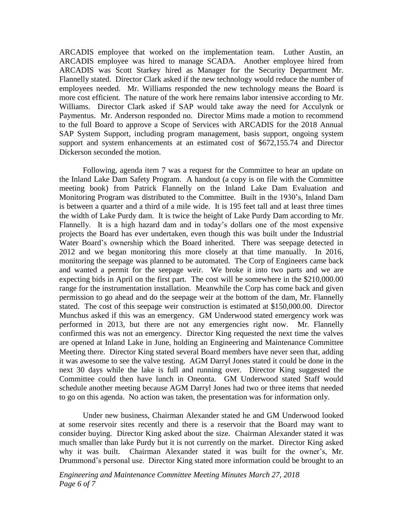ARCADIS employee that worked on the implementation team. Luther Austin, an ARCADIS employee was hired to manage SCADA. Another employee hired from ARCADIS was Scott Starkey hired as Manager for the Security Department Mr. Flannelly stated. Director Clark asked if the new technology would reduce the number of employees needed. Mr. Williams responded the new technology means the Board is more cost efficient. The nature of the work here remains labor intensive according to Mr. Williams. Director Clark asked if SAP would take away the need for Acculynk or Paymentus. Mr. Anderson responded no. Director Mims made a motion to recommend to the full Board to approve a Scope of Services with ARCADIS for the 2018 Annual SAP System Support, including program management, basis support, ongoing system support and system enhancements at an estimated cost of \$672,155.74 and Director Dickerson seconded the motion.

Following, agenda item 7 was a request for the Committee to hear an update on the Inland Lake Dam Safety Program. A handout (a copy is on file with the Committee meeting book) from Patrick Flannelly on the Inland Lake Dam Evaluation and Monitoring Program was distributed to the Committee. Built in the 1930's, Inland Dam is between a quarter and a third of a mile wide. It is 195 feet tall and at least three times the width of Lake Purdy dam. It is twice the height of Lake Purdy Dam according to Mr. Flannelly. It is a high hazard dam and in today's dollars one of the most expensive projects the Board has ever undertaken, even though this was built under the Industrial Water Board's ownership which the Board inherited. There was seepage detected in 2012 and we began monitoring this more closely at that time manually. In 2016, monitoring the seepage was planned to be automated. The Corp of Engineers came back and wanted a permit for the seepage weir. We broke it into two parts and we are expecting bids in April on the first part. The cost will be somewhere in the \$210,000.00 range for the instrumentation installation. Meanwhile the Corp has come back and given permission to go ahead and do the seepage weir at the bottom of the dam, Mr. Flannelly stated. The cost of this seepage weir construction is estimated at \$150,000.00. Director Munchus asked if this was an emergency. GM Underwood stated emergency work was performed in 2013, but there are not any emergencies right now. Mr. Flannelly confirmed this was not an emergency. Director King requested the next time the valves are opened at Inland Lake in June, holding an Engineering and Maintenance Committee Meeting there. Director King stated several Board members have never seen that, adding it was awesome to see the valve testing. AGM Darryl Jones stated it could be done in the next 30 days while the lake is full and running over. Director King suggested the Committee could then have lunch in Oneonta. GM Underwood stated Staff would schedule another meeting because AGM Darryl Jones had two or three items that needed to go on this agenda. No action was taken, the presentation was for information only.

Under new business, Chairman Alexander stated he and GM Underwood looked at some reservoir sites recently and there is a reservoir that the Board may want to consider buying. Director King asked about the size. Chairman Alexander stated it was much smaller than lake Purdy but it is not currently on the market. Director King asked why it was built. Chairman Alexander stated it was built for the owner's, Mr. Drummond's personal use. Director King stated more information could be brought to an

*Engineering and Maintenance Committee Meeting Minutes March 27, 2018 Page 6 of 7*